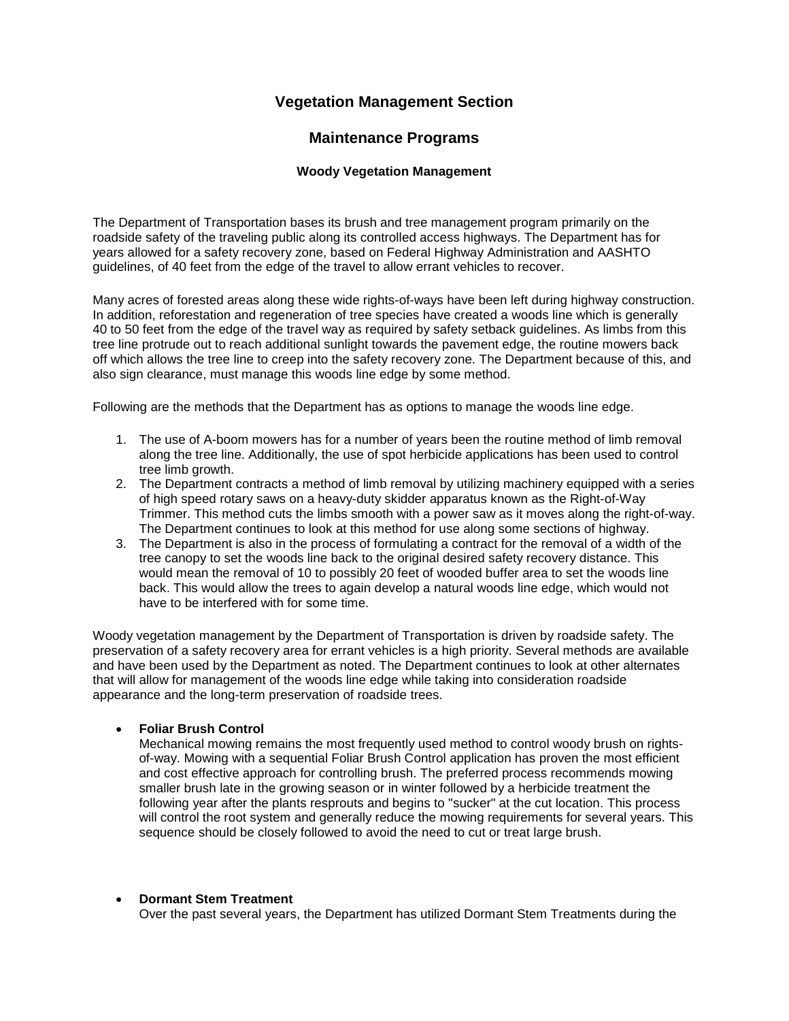# **Vegetation Management Section**

# **Maintenance Programs**

### **Woody Vegetation Management**

The Department of Transportation bases its brush and tree management program primarily on the roadside safety of the traveling public along its controlled access highways. The Department has for years allowed for a safety recovery zone, based on Federal Highway Administration and AASHTO guidelines, of 40 feet from the edge of the travel to allow errant vehicles to recover.

Many acres of forested areas along these wide rights-of-ways have been left during highway construction. In addition, reforestation and regeneration of tree species have created a woods line which is generally 40 to 50 feet from the edge of the travel way as required by safety setback guidelines. As limbs from this tree line protrude out to reach additional sunlight towards the pavement edge, the routine mowers back off which allows the tree line to creep into the safety recovery zone. The Department because of this, and also sign clearance, must manage this woods line edge by some method.

Following are the methods that the Department has as options to manage the woods line edge.

- 1. The use of A-boom mowers has for a number of years been the routine method of limb removal along the tree line. Additionally, the use of spot herbicide applications has been used to control tree limb growth.
- 2. The Department contracts a method of limb removal by utilizing machinery equipped with a series of high speed rotary saws on a heavy-duty skidder apparatus known as the Right-of-Way Trimmer. This method cuts the limbs smooth with a power saw as it moves along the right-of-way. The Department continues to look at this method for use along some sections of highway.
- 3. The Department is also in the process of formulating a contract for the removal of a width of the tree canopy to set the woods line back to the original desired safety recovery distance. This would mean the removal of 10 to possibly 20 feet of wooded buffer area to set the woods line back. This would allow the trees to again develop a natural woods line edge, which would not have to be interfered with for some time.

Woody vegetation management by the Department of Transportation is driven by roadside safety. The preservation of a safety recovery area for errant vehicles is a high priority. Several methods are available and have been used by the Department as noted. The Department continues to look at other alternates that will allow for management of the woods line edge while taking into consideration roadside appearance and the long-term preservation of roadside trees.

• **Foliar Brush Control**

Mechanical mowing remains the most frequently used method to control woody brush on rightsof-way. Mowing with a sequential Foliar Brush Control application has proven the most efficient and cost effective approach for controlling brush. The preferred process recommends mowing smaller brush late in the growing season or in winter followed by a herbicide treatment the following year after the plants resprouts and begins to "sucker" at the cut location. This process will control the root system and generally reduce the mowing requirements for several years. This sequence should be closely followed to avoid the need to cut or treat large brush.

## • **Dormant Stem Treatment**

Over the past several years, the Department has utilized Dormant Stem Treatments during the